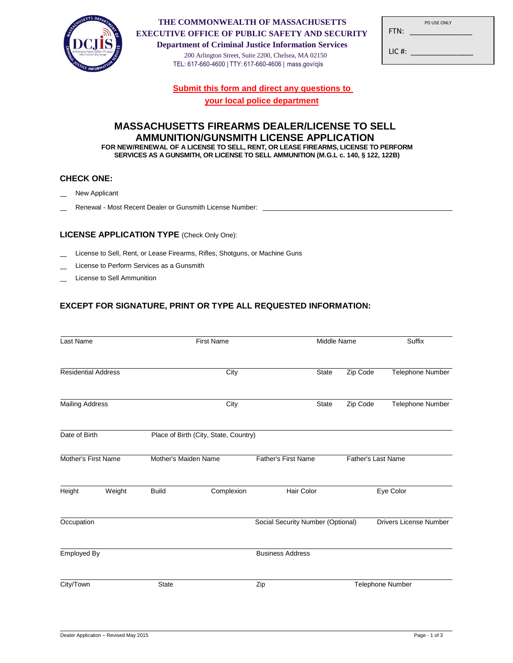

#### **THE COMMONWEALTH OF MASSACHUSETTS EXECUTIVE OFFICE OF PUBLIC SAFETY AND SECURITY**

**Department of Criminal Justice Information Services** 200 Arlington Street, Suite 2200, Chelsea, MA 02150 TEL: 617-660-4600 | TTY: 617-660-4606 | mass.gov/cjis

| FTN:   | PD USF ONLY |  |
|--------|-------------|--|
| LIC #: |             |  |

**Submit this form and direct any questions to** 

**your local police department**

## **MASSACHUSETTS FIREARMS DEALER/LICENSE TO SELL AMMUNITION/GUNSMITH LICENSE APPLICATION FOR NEW/RENEWAL OF A LICENSE TO SELL, RENT, OR LEASE FIREARMS, LICENSE TO PERFORM**

**SERVICES AS A GUNSMITH, OR LICENSE TO SELL AMMUNITION (M.G.L c. 140, § 122, 122B)**

### **CHECK ONE:**

- New Applicant
- Renewal Most Recent Dealer or Gunsmith License Number:

## **LICENSE APPLICATION TYPE** (Check Only One):

- License to Sell, Rent, or Lease Firearms, Rifles, Shotguns, or Machine Guns
- License to Perform Services as a Gunsmith
- License to Sell Ammunition

# **EXCEPT FOR SIGNATURE, PRINT OR TYPE ALL REQUESTED INFORMATION:**

| Last Name                  |        | <b>First Name</b>    |                                       |                                                         | Middle Name      |          | Suffix                        |
|----------------------------|--------|----------------------|---------------------------------------|---------------------------------------------------------|------------------|----------|-------------------------------|
| <b>Residential Address</b> |        |                      | City                                  |                                                         | <b>State</b>     | Zip Code | Telephone Number              |
| <b>Mailing Address</b>     |        | City                 |                                       |                                                         | <b>State</b>     | Zip Code | Telephone Number              |
| Date of Birth              |        |                      | Place of Birth (City, State, Country) |                                                         |                  |          |                               |
| Mother's First Name        |        | Mother's Maiden Name |                                       | <b>Father's First Name</b><br><b>Father's Last Name</b> |                  |          |                               |
| Height                     | Weight | <b>Build</b>         | Complexion                            | Hair Color                                              |                  |          | Eye Color                     |
| Occupation                 |        |                      |                                       | Social Security Number (Optional)                       |                  |          | <b>Drivers License Number</b> |
| Employed By                |        |                      |                                       | <b>Business Address</b>                                 |                  |          |                               |
| <b>State</b><br>City/Town  |        | Zip                  |                                       |                                                         | Telephone Number |          |                               |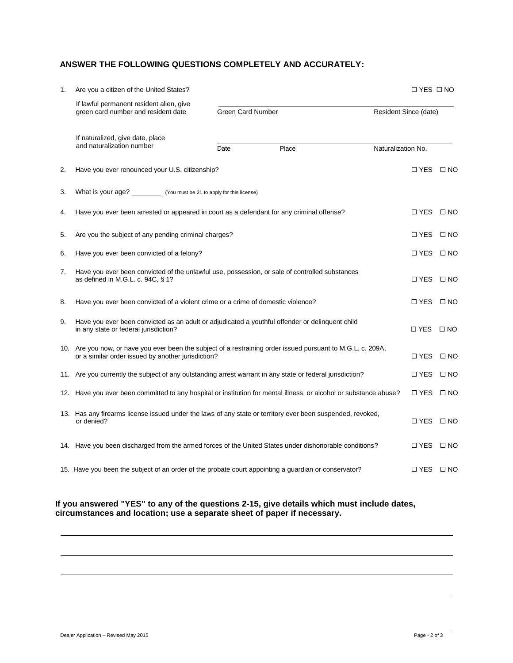# **ANSWER THE FOLLOWING QUESTIONS COMPLETELY AND ACCURATELY:**

| 1. | Are you a citizen of the United States?                                                                                                                            |                   |       |                       | $\Box$ YES $\Box$ NO |  |  |
|----|--------------------------------------------------------------------------------------------------------------------------------------------------------------------|-------------------|-------|-----------------------|----------------------|--|--|
|    | If lawful permanent resident alien, give<br>green card number and resident date                                                                                    | Green Card Number |       | Resident Since (date) |                      |  |  |
|    | If naturalized, give date, place<br>and naturalization number                                                                                                      | Date              | Place | Naturalization No.    |                      |  |  |
| 2. | Have you ever renounced your U.S. citizenship?                                                                                                                     |                   |       |                       | $\Box$ YES $\Box$ NO |  |  |
| 3. |                                                                                                                                                                    |                   |       |                       |                      |  |  |
| 4. | Have you ever been arrested or appeared in court as a defendant for any criminal offense?<br>$\Box$ YES $\Box$ NO                                                  |                   |       |                       |                      |  |  |
| 5. | Are you the subject of any pending criminal charges?                                                                                                               |                   |       |                       |                      |  |  |
| 6. | Have you ever been convicted of a felony?                                                                                                                          |                   |       |                       |                      |  |  |
| 7. | Have you ever been convicted of the unlawful use, possession, or sale of controlled substances<br>as defined in M.G.L. c. 94C, § 1?                                |                   |       |                       |                      |  |  |
| 8. | Have you ever been convicted of a violent crime or a crime of domestic violence?                                                                                   |                   |       |                       |                      |  |  |
| 9. | Have you ever been convicted as an adult or adjudicated a youthful offender or delinquent child<br>in any state or federal jurisdiction?                           |                   |       |                       |                      |  |  |
|    | 10. Are you now, or have you ever been the subject of a restraining order issued pursuant to M.G.L. c. 209A,<br>or a similar order issued by another jurisdiction? |                   |       |                       |                      |  |  |
|    | 11. Are you currently the subject of any outstanding arrest warrant in any state or federal jurisdiction?                                                          |                   |       |                       |                      |  |  |
|    | 12. Have you ever been committed to any hospital or institution for mental illness, or alcohol or substance abuse?                                                 |                   |       |                       |                      |  |  |
|    | 13. Has any firearms license issued under the laws of any state or territory ever been suspended, revoked,<br>or denied?                                           |                   |       |                       |                      |  |  |
|    | 14. Have you been discharged from the armed forces of the United States under dishonorable conditions?                                                             |                   |       |                       |                      |  |  |
|    | 15. Have you been the subject of an order of the probate court appointing a guardian or conservator?                                                               |                   |       |                       | $\Box$ YES $\Box$ NO |  |  |

### **If you answered "YES" to any of the questions 2-15, give details which must include dates, circumstances and location; use a separate sheet of paper if necessary.**